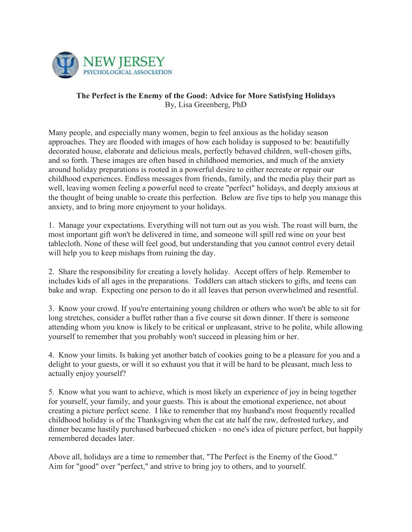

## **The Perfect is the Enemy of the Good: Advice for More Satisfying Holidays** By, Lisa Greenberg, PhD

Many people, and especially many women, begin to feel anxious as the holiday season approaches. They are flooded with images of how each holiday is supposed to be: beautifully decorated house, elaborate and delicious meals, perfectly behaved children, well-chosen gifts, and so forth. These images are often based in childhood memories, and much of the anxiety around holiday preparations is rooted in a powerful desire to either recreate or repair our childhood experiences. Endless messages from friends, family, and the media play their part as well, leaving women feeling a powerful need to create "perfect" holidays, and deeply anxious at the thought of being unable to create this perfection. Below are five tips to help you manage this anxiety, and to bring more enjoyment to your holidays.

1. Manage your expectations. Everything will not turn out as you wish. The roast will burn, the most important gift won't be delivered in time, and someone will spill red wine on your best tablecloth. None of these will feel good, but understanding that you cannot control every detail will help you to keep mishaps from ruining the day.

2. Share the responsibility for creating a lovely holiday. Accept offers of help. Remember to includes kids of all ages in the preparations. Toddlers can attach stickers to gifts, and teens can bake and wrap. Expecting one person to do it all leaves that person overwhelmed and resentful.

3. Know your crowd. If you're entertaining young children or others who won't be able to sit for long stretches, consider a buffet rather than a five course sit down dinner. If there is someone attending whom you know is likely to be critical or unpleasant, strive to be polite, while allowing yourself to remember that you probably won't succeed in pleasing him or her.

4. Know your limits. Is baking yet another batch of cookies going to be a pleasure for you and a delight to your guests, or will it so exhaust you that it will be hard to be pleasant, much less to actually enjoy yourself?

5. Know what you want to achieve, which is most likely an experience of joy in being together for yourself, your family, and your guests. This is about the emotional experience, not about creating a picture perfect scene. I like to remember that my husband's most frequently recalled childhood holiday is of the Thanksgiving when the cat ate half the raw, defrosted turkey, and dinner became hastily purchased barbecued chicken - no one's idea of picture perfect, but happily remembered decades later.

Above all, holidays are a time to remember that, "The Perfect is the Enemy of the Good." Aim for "good" over "perfect," and strive to bring joy to others, and to yourself.